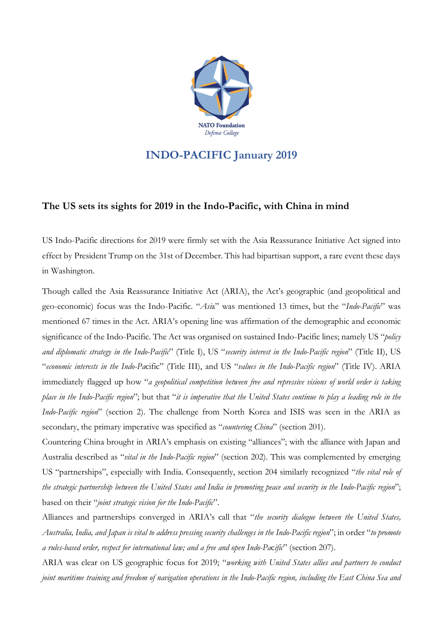

## **INDO-PACIFIC January 2019**

## **The US sets its sights for 2019 in the Indo-Pacific, with China in mind**

US Indo-Pacific directions for 2019 were firmly set with the Asia Reassurance Initiative Act signed into effect by President Trump on the 31st of December. This had bipartisan support, a rare event these days in Washington.

Though called the Asia Reassurance Initiative Act (ARIA), the Act's geographic (and geopolitical and geo-economic) focus was the Indo-Pacific. "*Asi*a" was mentioned 13 times, but the "*Indo-Pacific*" was mentioned 67 times in the Act. ARIA's opening line was affirmation of the demographic and economic significance of the Indo-Pacific. The Act was organised on sustained Indo-Pacific lines; namely US "*policy and diplomatic strategy in the Indo-Pacific*" (Title I), US "*security interest in the Indo-Pacific region*" (Title II), US "*economic interests in the Indo-Pa*cific" (Title III), and US "*values in the Indo-Pacific region*" (Title IV). ARIA immediately flagged up how "*a geopolitical competition between free and repressive visions of world order is taking* place in the Indo-Pacific region"; but that "it is imperative that the United States continue to play a leading role in the *Indo-Pacific region*" (section 2). The challenge from North Korea and ISIS was seen in the ARIA as secondary, the primary imperative was specified as "*countering China*" (section 201).

Countering China brought in ARIA's emphasis on existing "alliances"; with the alliance with Japan and Australia described as "*vital in the Indo-Pacific region*" (section 202). This was complemented by emerging US "partnerships", especially with India. Consequently, section 204 similarly recognized "*the vital role of* the strategic partnership between the United States and India in promoting peace and security in the Indo-Pacific region"; based on their "*joint strategic vision for the Indo-Pacific*".

Alliances and partnerships converged in ARIA's call that "*the security dialogue between the United States,* Australia, India, and Japan is vital to address pressing security challenges in the Indo-Pacific region"; in order "to promote *a rules-based order, respect for international law; and a free and open Indo-Pa*c*ific*" (section 207).

ARIA was clear on US geographic focus for 2019; "*working with United States allies and partners to conduct* joint maritime training and freedom of navigation operations in the Indo-Pacific region, including the East China Sea and